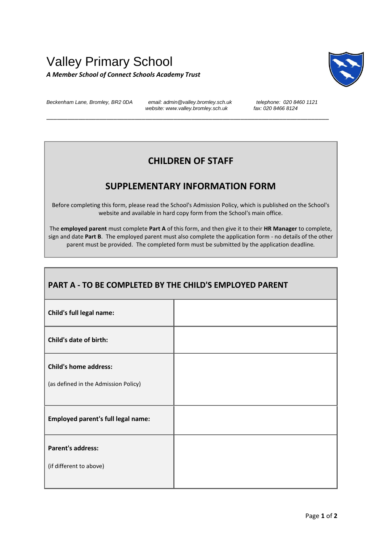## Valley Primary School *A Member School of Connect Schools Academy Trust*



*Beckenham Lane, Bromley, BR2 0DA email: admin@valley.bromley.sch.uk telephone: 020 8460 1121* website: www.valley.bromley.sch.uk

\_\_\_\_\_\_\_\_\_\_\_\_\_\_\_\_\_\_\_\_\_\_\_\_\_\_\_\_\_\_\_\_\_\_\_\_\_\_\_\_\_\_\_\_\_\_\_\_\_\_\_\_\_\_\_\_\_\_\_\_\_\_\_\_\_\_\_\_\_\_\_\_\_\_\_\_\_\_\_\_

## **CHILDREN OF STAFF**

## **SUPPLEMENTARY INFORMATION FORM**

Before completing this form, please read the School's Admission Policy, which is published on the School's website and available in hard copy form from the School's main office.

The **employed parent** must complete **Part A** of this form, and then give it to their **HR Manager** to complete, sign and date **Part B**. The employed parent must also complete the application form - no details of the other parent must be provided. The completed form must be submitted by the application deadline*.* 

| PART A - TO BE COMPLETED BY THE CHILD'S EMPLOYED PARENT              |  |  |
|----------------------------------------------------------------------|--|--|
| <b>Child's full legal name:</b>                                      |  |  |
| Child's date of birth:                                               |  |  |
| <b>Child's home address:</b><br>(as defined in the Admission Policy) |  |  |
| <b>Employed parent's full legal name:</b>                            |  |  |
| <b>Parent's address:</b><br>(if different to above)                  |  |  |